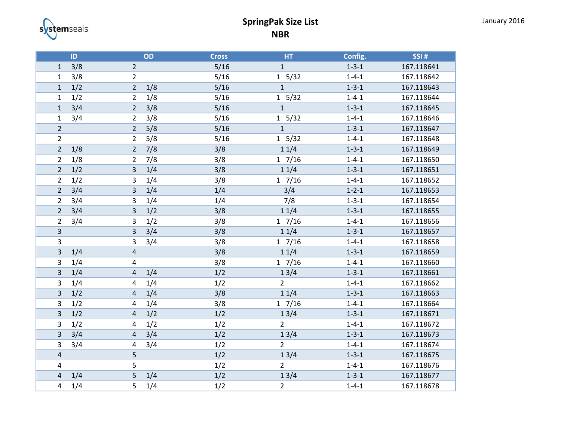

## **SpringPak Size List NBR**

|                         | ID  |                         | OD  | <b>Cross</b> | HT             | Config.     | SSI#       |
|-------------------------|-----|-------------------------|-----|--------------|----------------|-------------|------------|
| $\mathbf{1}$            | 3/8 | $\overline{2}$          |     | 5/16         | $\mathbf{1}$   | $1 - 3 - 1$ | 167.118641 |
| $\mathbf{1}$            | 3/8 | $\overline{2}$          |     | $5/16$       | 1 5/32         | $1 - 4 - 1$ | 167.118642 |
| $\mathbf 1$             | 1/2 | $\overline{2}$          | 1/8 | 5/16         | $\mathbf{1}$   | $1 - 3 - 1$ | 167.118643 |
| $\mathbf 1$             | 1/2 | $\overline{2}$          | 1/8 | 5/16         | 1 5/32         | $1 - 4 - 1$ | 167.118644 |
| $\mathbf 1$             | 3/4 | $\overline{2}$          | 3/8 | 5/16         | $\mathbf{1}$   | $1 - 3 - 1$ | 167.118645 |
| $\mathbf 1$             | 3/4 | $\overline{2}$          | 3/8 | 5/16         | 1 5/32         | $1 - 4 - 1$ | 167.118646 |
| $\overline{2}$          |     | $\overline{2}$          | 5/8 | 5/16         | $\mathbf{1}$   | $1 - 3 - 1$ | 167.118647 |
| $\overline{2}$          |     | $\overline{2}$          | 5/8 | 5/16         | 1 5/32         | $1 - 4 - 1$ | 167.118648 |
| $\overline{2}$          | 1/8 | $\overline{2}$          | 7/8 | 3/8          | 11/4           | $1 - 3 - 1$ | 167.118649 |
| $\overline{2}$          | 1/8 | $\overline{2}$          | 7/8 | 3/8          | $1 \t7/16$     | $1 - 4 - 1$ | 167.118650 |
| $\mathbf 2$             | 1/2 | 3                       | 1/4 | 3/8          | 11/4           | $1 - 3 - 1$ | 167.118651 |
| $\overline{2}$          | 1/2 | 3                       | 1/4 | 3/8          | 17/16          | $1 - 4 - 1$ | 167.118652 |
| $\overline{2}$          | 3/4 | 3                       | 1/4 | 1/4          | 3/4            | $1 - 2 - 1$ | 167.118653 |
| $\overline{2}$          | 3/4 | 3                       | 1/4 | 1/4          | 7/8            | $1 - 3 - 1$ | 167.118654 |
| $\overline{2}$          | 3/4 | 3                       | 1/2 | 3/8          | 11/4           | $1 - 3 - 1$ | 167.118655 |
| $\overline{2}$          | 3/4 | 3                       | 1/2 | 3/8          | 17/16          | $1 - 4 - 1$ | 167.118656 |
| $\overline{3}$          |     | 3                       | 3/4 | 3/8          | 11/4           | $1 - 3 - 1$ | 167.118657 |
| $\mathbf{3}$            |     | 3                       | 3/4 | 3/8          | $1 \t7/16$     | $1 - 4 - 1$ | 167.118658 |
| $\mathsf 3$             | 1/4 | $\overline{\mathbf{r}}$ |     | 3/8          | 11/4           | $1 - 3 - 1$ | 167.118659 |
| 3                       | 1/4 | 4                       |     | 3/8          | 17/16          | $1 - 4 - 1$ | 167.118660 |
| $\overline{\mathbf{3}}$ | 1/4 | $\overline{a}$          | 1/4 | 1/2          | 13/4           | $1 - 3 - 1$ | 167.118661 |
| $\mathsf 3$             | 1/4 | 4                       | 1/4 | $1/2$        | $\overline{2}$ | $1 - 4 - 1$ | 167.118662 |
| 3                       | 1/2 | $\sqrt{4}$              | 1/4 | 3/8          | 11/4           | $1 - 3 - 1$ | 167.118663 |
| 3                       | 1/2 | 4                       | 1/4 | 3/8          | $1 \t7/16$     | $1 - 4 - 1$ | 167.118664 |
| $\mathsf 3$             | 1/2 | $\overline{4}$          | 1/2 | 1/2          | 13/4           | $1 - 3 - 1$ | 167.118671 |
| 3                       | 1/2 | 4                       | 1/2 | 1/2          | $\overline{2}$ | $1 - 4 - 1$ | 167.118672 |
| 3                       | 3/4 | 4                       | 3/4 | 1/2          | 13/4           | $1 - 3 - 1$ | 167.118673 |
| 3                       | 3/4 | 4                       | 3/4 | 1/2          | $\overline{2}$ | $1 - 4 - 1$ | 167.118674 |
| $\pmb{4}$               |     | 5                       |     | 1/2          | 13/4           | $1 - 3 - 1$ | 167.118675 |
| 4                       |     | 5                       |     | 1/2          | $\overline{2}$ | $1 - 4 - 1$ | 167.118676 |
| 4                       | 1/4 | 5                       | 1/4 | 1/2          | 13/4           | $1 - 3 - 1$ | 167.118677 |
| 4                       | 1/4 | 5                       | 1/4 | 1/2          | $\overline{2}$ | $1 - 4 - 1$ | 167.118678 |